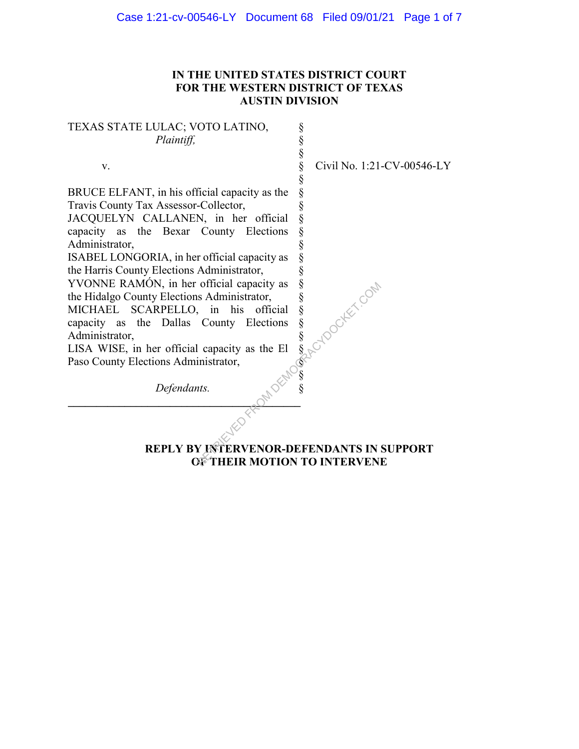# **IN THE UNITED STATES DISTRICT COURT FOR THE WESTERN DISTRICT OF TEXAS AUSTIN DIVISION**

§ § § § § § § § § § § § § § § § §  $\S$ §≦ § §

# TEXAS STATE LULAC; VOTO LATINO, *Plaintiff,*

v.

BRUCE ELFANT, in his official capacity as the Travis County Tax Assessor-Collector,

JACQUELYN CALLANEN, in her official capacity as the Bexar County Elections Administrator,

ISABEL LONGORIA, in her official capacity as the Harris County Elections Administrator,

YVONNE RAMÓN, in her official capacity as the Hidalgo County Elections Administrator,

MICHAEL SCARPELLO, in his official capacity as the Dallas County Elections Administrator,

LISA WISE, in her official capacity as the El Paso County Elections Administrator,

 *Defendants.* **\_\_\_\_\_\_\_\_\_\_\_\_\_\_\_\_\_\_\_\_\_\_\_\_\_\_\_\_\_\_\_\_\_\_\_\_\_\_\_\_\_**  Civil No. 1:21-CV-00546-LY

**REPLY BY INTERVENOR-DEFENDANTS IN SUPPORT OF THEIR MOTION TO INTERVENE** official capacity as  $\frac{8}{5}$ <br>  $\frac{8}{5}$ <br>  $\frac{1}{5}$  county Elections  $\frac{8}{5}$ <br>  $\frac{1}{5}$  capacity as the El  $\frac{8}{5}$ <br>  $\frac{8}{5}$ <br>  $\frac{8}{5}$ <br>  $\frac{8}{5}$ <br>  $\frac{8}{5}$ <br>  $\frac{8}{5}$ <br>  $\frac{8}{5}$ <br>  $\frac{8}{5}$ <br>  $\frac{8}{5}$ <br>  $\frac{8}{5}$ <br>  $\$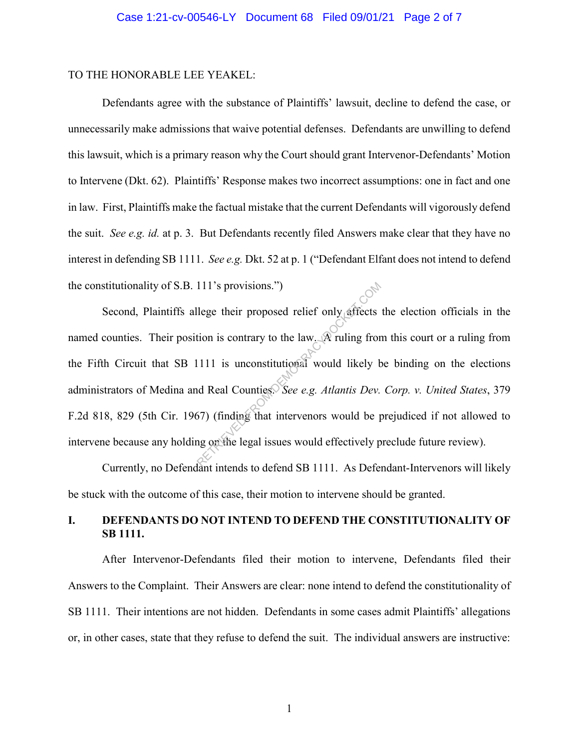## TO THE HONORABLE LEE YEAKEL:

Defendants agree with the substance of Plaintiffs' lawsuit, decline to defend the case, or unnecessarily make admissions that waive potential defenses. Defendants are unwilling to defend this lawsuit, which is a primary reason why the Court should grant Intervenor-Defendants' Motion to Intervene (Dkt. 62). Plaintiffs' Response makes two incorrect assumptions: one in fact and one in law. First, Plaintiffs make the factual mistake that the current Defendants will vigorously defend the suit. *See e.g. id.* at p. 3. But Defendants recently filed Answers make clear that they have no interest in defending SB 1111. *See e.g.* Dkt. 52 at p. 1 ("Defendant Elfant does not intend to defend the constitutionality of S.B. 111's provisions.")

Second, Plaintiffs allege their proposed relief only affects the election officials in the named counties. Their position is contrary to the law. A ruling from this court or a ruling from the Fifth Circuit that SB 1111 is unconstitutional would likely be binding on the elections administrators of Medina and Real Counties. *See e.g. Atlantis Dev. Corp. v. United States*, 379 F.2d 818, 829 (5th Cir. 1967) (finding that intervenors would be prejudiced if not allowed to intervene because any holding on the legal issues would effectively preclude future review). 111's provisions.")<br>
lege their proposed relief only affects<br>
tion is contrary to the law. A ruling from<br>
1111 is unconstitutional would likely b<br>
1111 is unconstitutional would likely b<br>
122 Atlantis Dev.<br>
123 Atlantis D

Currently, no Defendant intends to defend SB 1111. As Defendant-Intervenors will likely be stuck with the outcome of this case, their motion to intervene should be granted.

# **I. DEFENDANTS DO NOT INTEND TO DEFEND THE CONSTITUTIONALITY OF SB 1111.**

After Intervenor-Defendants filed their motion to intervene, Defendants filed their Answers to the Complaint. Their Answers are clear: none intend to defend the constitutionality of SB 1111. Their intentions are not hidden. Defendants in some cases admit Plaintiffs' allegations or, in other cases, state that they refuse to defend the suit. The individual answers are instructive: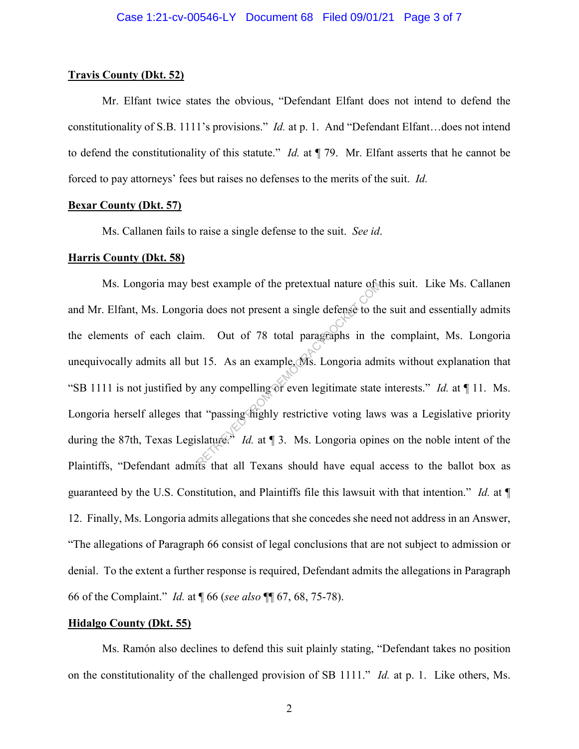# **Travis County (Dkt. 52)**

Mr. Elfant twice states the obvious, "Defendant Elfant does not intend to defend the constitutionality of S.B. 1111's provisions." *Id.* at p. 1. And "Defendant Elfant…does not intend to defend the constitutionality of this statute." *Id.* at ¶ 79. Mr. Elfant asserts that he cannot be forced to pay attorneys' fees but raises no defenses to the merits of the suit. *Id.*

## **Bexar County (Dkt. 57)**

Ms. Callanen fails to raise a single defense to the suit. *See id*.

#### **Harris County (Dkt. 58)**

Ms. Longoria may best example of the pretextual nature of this suit. Like Ms. Callanen and Mr. Elfant, Ms. Longoria does not present a single defense to the suit and essentially admits the elements of each claim. Out of 78 total paragraphs in the complaint, Ms. Longoria unequivocally admits all but 15. As an example, Ms. Longoria admits without explanation that "SB 1111 is not justified by any compelling or even legitimate state interests." *Id.* at ¶ 11. Ms. Longoria herself alleges that "passing highly restrictive voting laws was a Legislative priority during the 87th, Texas Legislature." *Id.* at ¶ 3. Ms. Longoria opines on the noble intent of the Plaintiffs, "Defendant admits that all Texans should have equal access to the ballot box as guaranteed by the U.S. Constitution, and Plaintiffs file this lawsuit with that intention." *Id.* at ¶ 12. Finally, Ms. Longoria admits allegations that she concedes she need not address in an Answer, "The allegations of Paragraph 66 consist of legal conclusions that are not subject to admission or denial. To the extent a further response is required, Defendant admits the allegations in Paragraph 66 of the Complaint." *Id.* at ¶ 66 (*see also* ¶¶ 67, 68, 75-78). Example of the pretextual nature of the discrete transition of the pretextual nature of the discrete transition of the model of the transition of the state of the discrete transition of the state of the discrete transitio

# **Hidalgo County (Dkt. 55)**

Ms. Ramón also declines to defend this suit plainly stating, "Defendant takes no position on the constitutionality of the challenged provision of SB 1111." *Id.* at p. 1. Like others, Ms.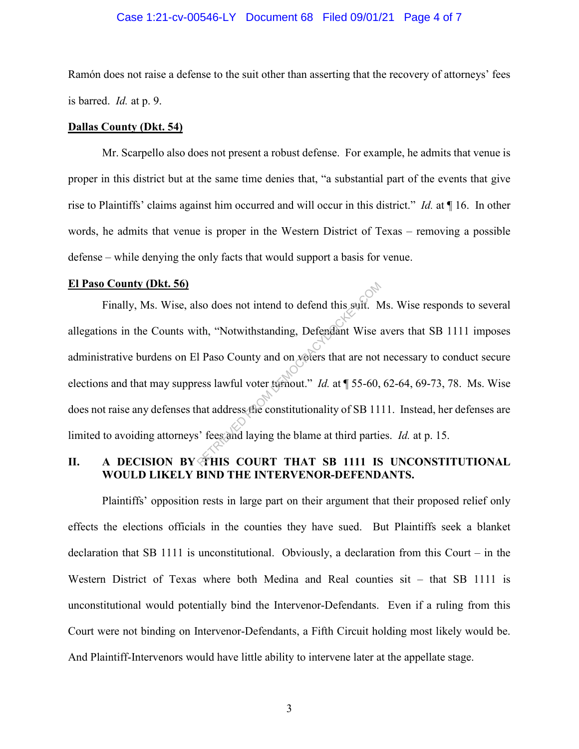## Case 1:21-cv-00546-LY Document 68 Filed 09/01/21 Page 4 of 7

Ramón does not raise a defense to the suit other than asserting that the recovery of attorneys' fees is barred. *Id.* at p. 9.

#### **Dallas County (Dkt. 54)**

Mr. Scarpello also does not present a robust defense. For example, he admits that venue is proper in this district but at the same time denies that, "a substantial part of the events that give rise to Plaintiffs' claims against him occurred and will occur in this district." *Id.* at ¶ 16. In other words, he admits that venue is proper in the Western District of Texas – removing a possible defense – while denying the only facts that would support a basis for venue.

#### **El Paso County (Dkt. 56)**

Finally, Ms. Wise, also does not intend to defend this suit. Ms. Wise responds to several allegations in the Counts with, "Notwithstanding, Defendant Wise avers that SB 1111 imposes administrative burdens on El Paso County and on voters that are not necessary to conduct secure elections and that may suppress lawful voter turnout." *Id.* at ¶ 55-60, 62-64, 69-73, 78. Ms. Wise does not raise any defenses that address the constitutionality of SB 1111. Instead, her defenses are limited to avoiding attorneys' fees and laying the blame at third parties. *Id.* at p. 15. So does not intend to defend this suit. Not<br>th, "Notwithstanding, Defendant Wise :<br>1 Paso County and on veters that are not<br>ress lawful voter turnout." Id. at  $\P$  55-60,<br>hat address the constitutionality of SB 11<br>is' fees

# **II. A DECISION BY THIS COURT THAT SB 1111 IS UNCONSTITUTIONAL WOULD LIKELY BIND THE INTERVENOR-DEFENDANTS.**

Plaintiffs' opposition rests in large part on their argument that their proposed relief only effects the elections officials in the counties they have sued. But Plaintiffs seek a blanket declaration that SB 1111 is unconstitutional. Obviously, a declaration from this Court – in the Western District of Texas where both Medina and Real counties sit – that SB 1111 is unconstitutional would potentially bind the Intervenor-Defendants. Even if a ruling from this Court were not binding on Intervenor-Defendants, a Fifth Circuit holding most likely would be. And Plaintiff-Intervenors would have little ability to intervene later at the appellate stage.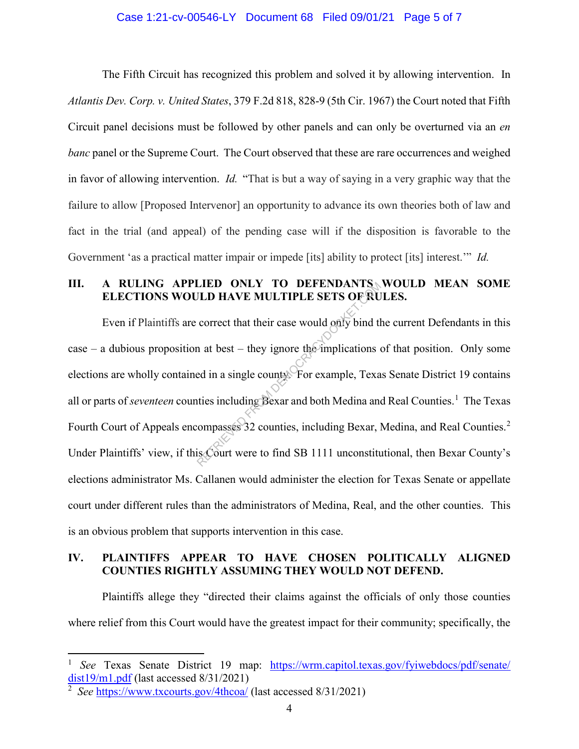## Case 1:21-cv-00546-LY Document 68 Filed 09/01/21 Page 5 of 7

The Fifth Circuit has recognized this problem and solved it by allowing intervention. In *Atlantis Dev. Corp. v. United States*, 379 F.2d 818, 828-9 (5th Cir. 1967) the Court noted that Fifth Circuit panel decisions must be followed by other panels and can only be overturned via an *en banc* panel or the Supreme Court. The Court observed that these are rare occurrences and weighed in favor of allowing intervention. *Id.* "That is but a way of saying in a very graphic way that the failure to allow [Proposed Intervenor] an opportunity to advance its own theories both of law and fact in the trial (and appeal) of the pending case will if the disposition is favorable to the Government 'as a practical matter impair or impede [its] ability to protect [its] interest.'" *Id.* 

# **III. A RULING APPLIED ONLY TO DEFENDANTS WOULD MEAN SOME ELECTIONS WOULD HAVE MULTIPLE SETS OF RULES.**

Even if Plaintiffs are correct that their case would only bind the current Defendants in this case – a dubious proposition at best – they ignore the implications of that position. Only some elections are wholly contained in a single county. For example, Texas Senate District 19 contains all or parts of *seventeen* counties including Bexar and both Medina and Real Counties.<sup>1</sup> The Texas Fourth Court of Appeals encompasses 32 counties, including Bexar, Medina, and Real Counties.<sup>2</sup> Under Plaintiffs' view, if this Court were to find SB 1111 unconstitutional, then Bexar County's elections administrator Ms. Callanen would administer the election for Texas Senate or appellate court under different rules than the administrators of Medina, Real, and the other counties. This is an obvious problem that supports intervention in this case. THE SETS OF RU<br>THE HAVE MULTIPLE SETS OF RU<br>correct that their case would only bind the<br>a at best – they ignore the implications<br>ed in a single county. For example, Texa<br>ties including Bexar and both Medina and<br>compasses 3

# **IV. PLAINTIFFS APPEAR TO HAVE CHOSEN POLITICALLY ALIGNED COUNTIES RIGHTLY ASSUMING THEY WOULD NOT DEFEND.**

Plaintiffs allege they "directed their claims against the officials of only those counties where relief from this Court would have the greatest impact for their community; specifically, the

l

<sup>1</sup> *See* Texas Senate District 19 map: https://wrm.capitol.texas.gov/fyiwebdocs/pdf/senate/ dist19/m1.pdf (last accessed 8/31/2021)

<sup>2</sup> *See* https://www.txcourts.gov/4thcoa/ (last accessed 8/31/2021)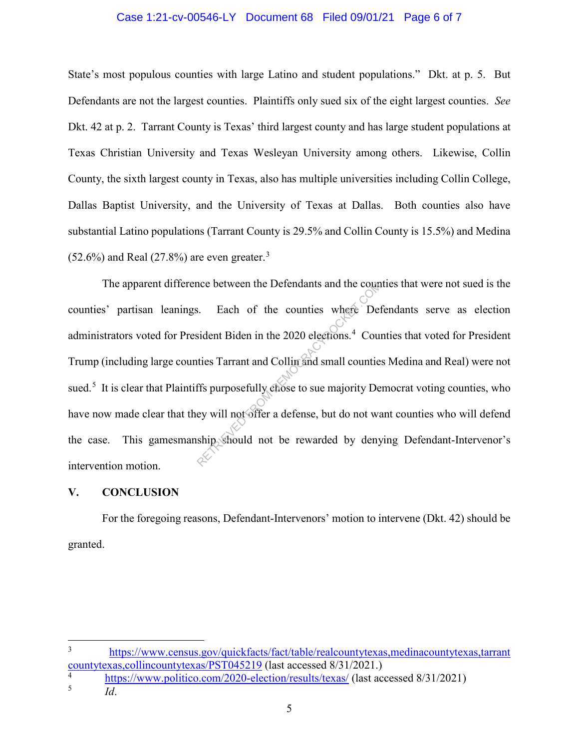## Case 1:21-cv-00546-LY Document 68 Filed 09/01/21 Page 6 of 7

State's most populous counties with large Latino and student populations." Dkt. at p. 5. But Defendants are not the largest counties. Plaintiffs only sued six of the eight largest counties. *See*  Dkt. 42 at p. 2. Tarrant County is Texas' third largest county and has large student populations at Texas Christian University and Texas Wesleyan University among others. Likewise, Collin County, the sixth largest county in Texas, also has multiple universities including Collin College, Dallas Baptist University, and the University of Texas at Dallas. Both counties also have substantial Latino populations (Tarrant County is 29.5% and Collin County is 15.5%) and Medina  $(52.6\%)$  and Real  $(27.8\%)$  are even greater.<sup>3</sup>

The apparent difference between the Defendants and the counties that were not sued is the counties' partisan leanings. Each of the counties where Defendants serve as election administrators voted for President Biden in the 2020 elections.<sup>4</sup> Counties that voted for President Trump (including large counties Tarrant and Collin and small counties Medina and Real) were not sued.<sup>5</sup> It is clear that Plaintiffs purposefully chose to sue majority Democrat voting counties, who have now made clear that they will not offer a defense, but do not want counties who will defend the case. This gamesmanship should not be rewarded by denying Defendant-Intervenor's intervention motion. Reference between the Defendants and the counties<br>S. Each of the counties where Defined<br>Sident Biden in the 2020 elections.<sup>4</sup> Counties Tarrant and Colline and small counties<br>ffs purposefully chose to sue majority De<br>ey wi

# **V. CONCLUSION**

For the foregoing reasons, Defendant-Intervenors' motion to intervene (Dkt. 42) should be granted.

 $\overline{\mathbf{3}}$ https://www.census.gov/quickfacts/fact/table/realcountytexas,medinacountytexas,tarrant countytexas,collincountytexas/PST045219 (last accessed 8/31/2021.)

<sup>4</sup> https://www.politico.com/2020-election/results/texas/ (last accessed 8/31/2021)

<sup>5</sup>  *Id*.